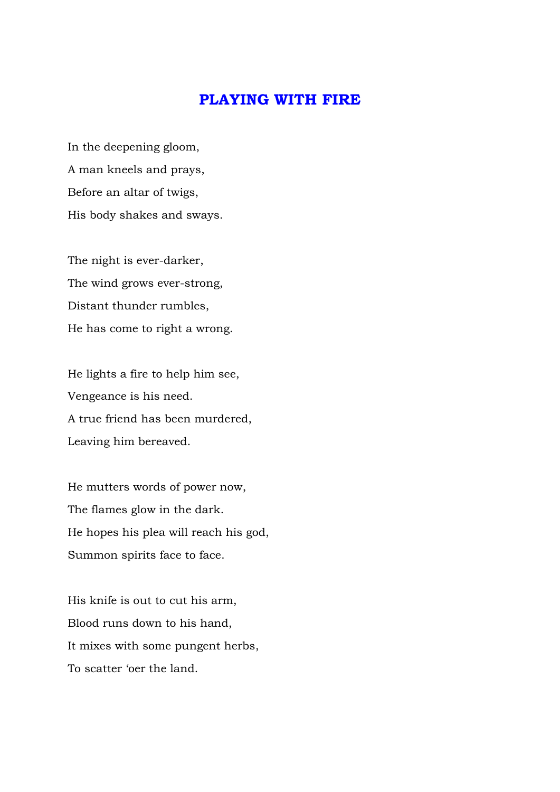## **PLAYING WITH FIRE**

In the deepening gloom, A man kneels and prays, Before an altar of twigs, His body shakes and sways.

The night is ever-darker, The wind grows ever-strong, Distant thunder rumbles, He has come to right a wrong.

He lights a fire to help him see, Vengeance is his need. A true friend has been murdered, Leaving him bereaved.

He mutters words of power now, The flames glow in the dark. He hopes his plea will reach his god, Summon spirits face to face.

His knife is out to cut his arm, Blood runs down to his hand, It mixes with some pungent herbs, To scatter 'oer the land.